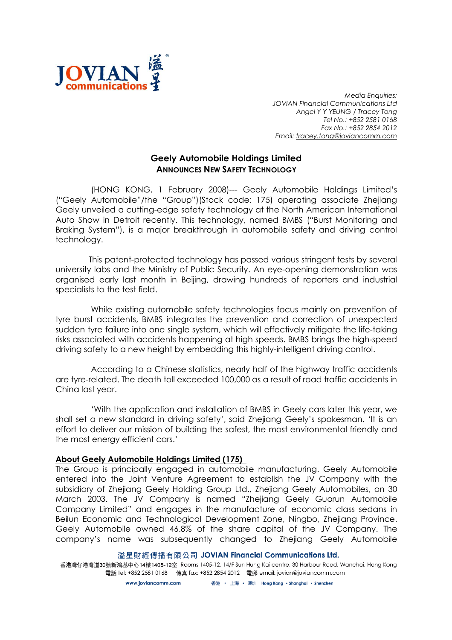

Media Enquiries: JOVIAN Financial Communications Ltd Angel Y Y YEUNG / Tracey Tong Tel No.: +852 2581 0168 Fax No.: +852 2854 2012 Email: tracey.tong@joviancomm.com

## Geely Automobile Holdings Limited ANNOUNCES NEW SAFETY TECHNOLOGY

(HONG KONG, 1 February 2008)--- Geely Automobile Holdings Limited's ("Geely Automobile"/the "Group")(Stock code: 175) operating associate Zhejiang Geely unveiled a cutting-edge safety technology at the North American International Auto Show in Detroit recently. This technology, named BMBS ("Burst Monitoring and Braking System"), is a major breakthrough in automobile safety and driving control technology.

This patent-protected technology has passed various stringent tests by several university labs and the Ministry of Public Security. An eye-opening demonstration was organised early last month in Beijing, drawing hundreds of reporters and industrial specialists to the test field.

While existing automobile safety technologies focus mainly on prevention of tyre burst accidents, BMBS integrates the prevention and correction of unexpected sudden tyre failure into one single system, which will effectively mitigate the life-taking risks associated with accidents happening at high speeds. BMBS brings the high-speed driving safety to a new height by embedding this highly-intelligent driving control.

According to a Chinese statistics, nearly half of the highway traffic accidents are tyre-related. The death toll exceeded 100,000 as a result of road traffic accidents in China last year.

'With the application and installation of BMBS in Geely cars later this year, we shall set a new standard in driving safety', said Zhejiang Geely's spokesman. 'It is an effort to deliver our mission of building the safest, the most environmental friendly and the most energy efficient cars.'

## About Geely Automobile Holdings Limited (175)

The Group is principally engaged in automobile manufacturing. Geely Automobile entered into the Joint Venture Agreement to establish the JV Company with the subsidiary of Zhejiang Geely Holding Group Ltd., Zhejiang Geely Automobiles, on 30 March 2003. The JV Company is named "Zhejiang Geely Guorun Automobile Company Limited" and engages in the manufacture of economic class sedans in Beilun Economic and Technological Development Zone, Ningbo, Zhejiang Province. Geely Automobile owned 46.8% of the share capital of the JV Company. The company's name was subsequently changed to Zhejiang Geely Automobile

溢星財經傳播有限公司 JOVIAN Financial Communications Ltd.

香港灣仔港灣道30號新鴻基中心14樓1405-12室 Rooms 1405-12, 14/F Sun Hung Kai centre, 30 Harbour Road, Wanchai, Hong Kong 電話 tel: +852 2581 0168 傳真 fax: +852 2854 2012 電郵 email: jovian@joviancomm.com